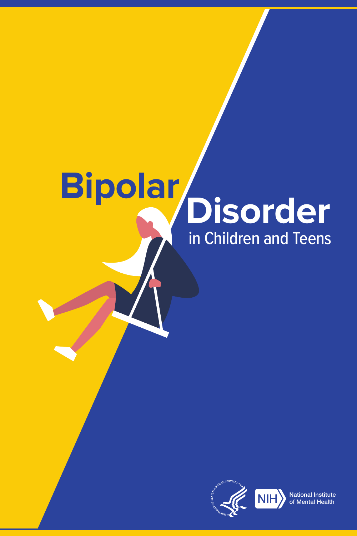# **Disorder Bipolar** in Children and Teens



**National Ins** ititute<br>ealth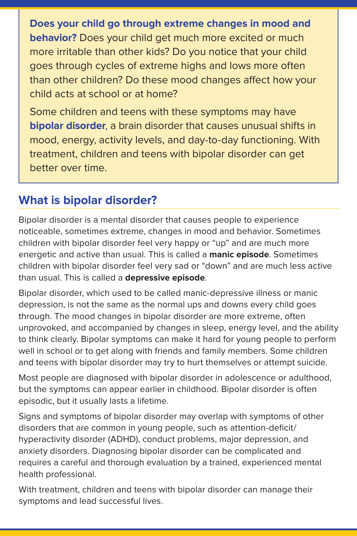**Does your child go through extreme changes in mood and behavior?** Does your child get much more excited or much more irritable than other kids? Do you notice that your child goes through cycles of extreme highs and lows more often than other children? Do these mood changes affect how your child acts at school or at home?

Some children and teens with these symptoms may have **bipolar disorder**, a brain disorder that causes unusual shifts in mood, energy, activity levels, and day-to-day functioning. With treatment, children and teens with bipolar disorder can get better over time.

## **What is bipolar disorder?**

Bipolar disorder is a mental disorder that causes people to experience noticeable, sometimes extreme, changes in mood and behavior. Sometimes children with bipolar disorder feel very happy or "up" and are much more energetic and active than usual. This is called a **manic episode**. Sometimes children with bipolar disorder feel very sad or "down" and are much less active than usual. This is called a **depressive episode**.

Bipolar disorder, which used to be called manic-depressive illness or manic depression, is not the same as the normal ups and downs every child goes through. The mood changes in bipolar disorder are more extreme, often unprovoked, and accompanied by changes in sleep, energy level, and the ability to think clearly. Bipolar symptoms can make it hard for young people to perform well in school or to get along with friends and family members. Some children and teens with bipolar disorder may try to hurt themselves or attempt suicide.

Most people are diagnosed with bipolar disorder in adolescence or adulthood, but the symptoms can appear earlier in childhood. Bipolar disorder is often episodic, but it usually lasts a lifetime.

Signs and symptoms of bipolar disorder may overlap with symptoms of other disorders that are common in young people, such as attention-deficit/ hyperactivity disorder (ADHD), conduct problems, major depression, and anxiety disorders. Diagnosing bipolar disorder can be complicated and requires a careful and thorough evaluation by a trained, experienced mental health professional.

With treatment, children and teens with bipolar disorder can manage their symptoms and lead successful lives.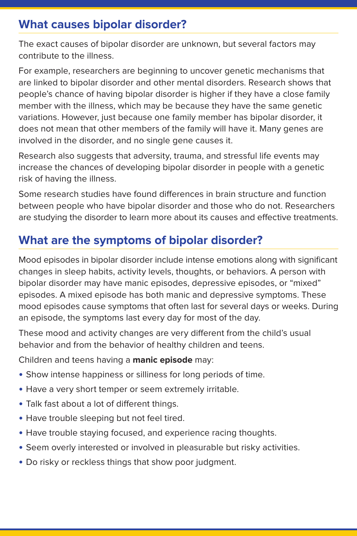#### **What causes bipolar disorder?**

The exact causes of bipolar disorder are unknown, but several factors may contribute to the illness.

For example, researchers are beginning to uncover genetic mechanisms that are linked to bipolar disorder and other mental disorders. Research shows that people's chance of having bipolar disorder is higher if they have a close family member with the illness, which may be because they have the same genetic variations. However, just because one family member has bipolar disorder, it does not mean that other members of the family will have it. Many genes are involved in the disorder, and no single gene causes it.

Research also suggests that adversity, trauma, and stressful life events may increase the chances of developing bipolar disorder in people with a genetic risk of having the illness.

Some research studies have found differences in brain structure and function between people who have bipolar disorder and those who do not. Researchers are studying the disorder to learn more about its causes and effective treatments.

# **What are the symptoms of bipolar disorder?**

Mood episodes in bipolar disorder include intense emotions along with significant changes in sleep habits, activity levels, thoughts, or behaviors. A person with bipolar disorder may have manic episodes, depressive episodes, or "mixed" episodes. A mixed episode has both manic and depressive symptoms. These mood episodes cause symptoms that often last for several days or weeks. During an episode, the symptoms last every day for most of the day.

These mood and activity changes are very different from the child's usual behavior and from the behavior of healthy children and teens.

Children and teens having a **manic episode** may:

- Show intense happiness or silliness for long periods of time.
- Have a very short temper or seem extremely irritable.
- Talk fast about a lot of different things.
- Have trouble sleeping but not feel tired.
- Have trouble staying focused, and experience racing thoughts.
- Seem overly interested or involved in pleasurable but risky activities.
- Do risky or reckless things that show poor judgment.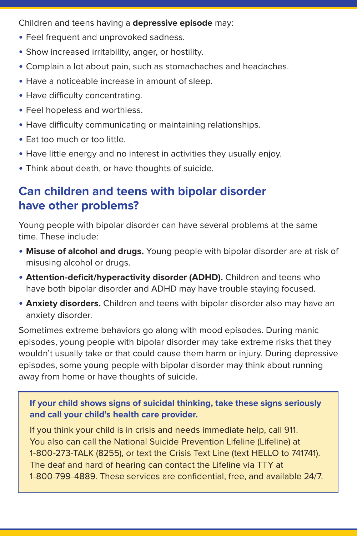Children and teens having a **depressive episode** may:

- Feel frequent and unprovoked sadness.
- Show increased irritability, anger, or hostility.
- Complain a lot about pain, such as stomachaches and headaches.
- Have a noticeable increase in amount of sleep.
- Have difficulty concentrating.
- Feel hopeless and worthless.
- Have difficulty communicating or maintaining relationships.
- Eat too much or too little.
- Have little energy and no interest in activities they usually enjoy.
- Think about death, or have thoughts of suicide.

# **Can children and teens with bipolar disorder have other problems?**

Young people with bipolar disorder can have several problems at the same time. These include:

- **Misuse of alcohol and drugs.** Young people with bipolar disorder are at risk of misusing alcohol or drugs.
- **Attention-deficit/hyperactivity disorder (ADHD).** Children and teens who have both bipolar disorder and ADHD may have trouble staying focused.
- **Anxiety disorders.** Children and teens with bipolar disorder also may have an anxiety disorder.

Sometimes extreme behaviors go along with mood episodes. During manic episodes, young people with bipolar disorder may take extreme risks that they wouldn't usually take or that could cause them harm or injury. During depressive episodes, some young people with bipolar disorder may think about running away from home or have thoughts of suicide.

**If your child shows signs of suicidal thinking, take these signs seriously and call your child's health care provider.** 

If you think your child is in crisis and needs immediate help, call 911. You also can call the National Suicide Prevention Lifeline (Lifeline) at 1-800-273-TALK (8255), or text the Crisis Text Line (text HELLO to 741741). The deaf and hard of hearing can contact the Lifeline via TTY at 1-800-799-4889. These services are confidential, free, and available 24/7.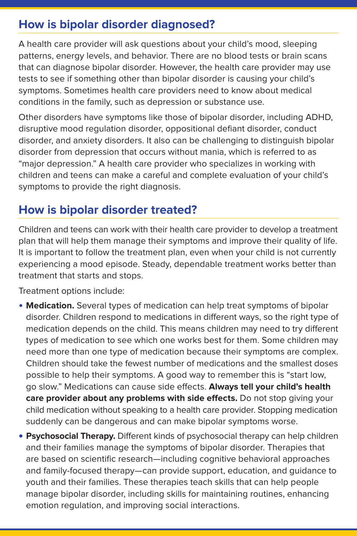#### **How is bipolar disorder diagnosed?**

A health care provider will ask questions about your child's mood, sleeping patterns, energy levels, and behavior. There are no blood tests or brain scans that can diagnose bipolar disorder. However, the health care provider may use tests to see if something other than bipolar disorder is causing your child's symptoms. Sometimes health care providers need to know about medical conditions in the family, such as depression or substance use.

Other disorders have symptoms like those of bipolar disorder, including ADHD, disruptive mood regulation disorder, oppositional defiant disorder, conduct disorder, and anxiety disorders. It also can be challenging to distinguish bipolar disorder from depression that occurs without mania, which is referred to as "major depression." A health care provider who specializes in working with children and teens can make a careful and complete evaluation of your child's symptoms to provide the right diagnosis.

# **How is bipolar disorder treated?**

Children and teens can work with their health care provider to develop a treatment plan that will help them manage their symptoms and improve their quality of life. It is important to follow the treatment plan, even when your child is not currently experiencing a mood episode. Steady, dependable treatment works better than treatment that starts and stops.

Treatment options include:

- **Medication.** Several types of medication can help treat symptoms of bipolar disorder. Children respond to medications in different ways, so the right type of medication depends on the child. This means children may need to try different types of medication to see which one works best for them. Some children may need more than one type of medication because their symptoms are complex. Children should take the fewest number of medications and the smallest doses possible to help their symptoms. A good way to remember this is "start low, go slow." Medications can cause side effects. **Always tell your child's health care provider about any problems with side effects.** Do not stop giving your child medication without speaking to a health care provider. Stopping medication suddenly can be dangerous and can make bipolar symptoms worse.
- **• Psychosocial Therapy.** Different kinds of psychosocial therapy can help children and their families manage the symptoms of bipolar disorder. Therapies that are based on scientific research—including cognitive behavioral approaches and family-focused therapy—can provide support, education, and guidance to youth and their families. These therapies teach skills that can help people manage bipolar disorder, including skills for maintaining routines, enhancing emotion regulation, and improving social interactions.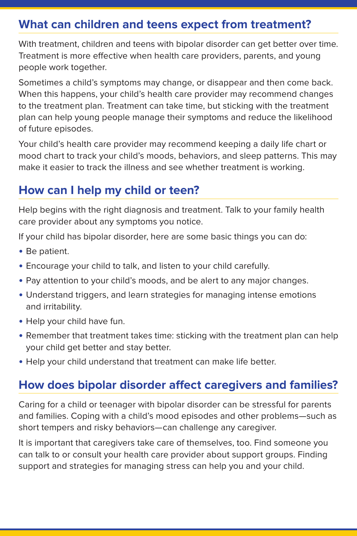#### **What can children and teens expect from treatment?**

With treatment, children and teens with bipolar disorder can get better over time. Treatment is more effective when health care providers, parents, and young people work together.

Sometimes a child's symptoms may change, or disappear and then come back. When this happens, your child's health care provider may recommend changes to the treatment plan. Treatment can take time, but sticking with the treatment plan can help young people manage their symptoms and reduce the likelihood of future episodes.

Your child's health care provider may recommend keeping a daily life chart or mood chart to track your child's moods, behaviors, and sleep patterns. This may make it easier to track the illness and see whether treatment is working.

# **How can I help my child or teen?**

Help begins with the right diagnosis and treatment. Talk to your family health care provider about any symptoms you notice.

If your child has bipolar disorder, here are some basic things you can do:

- Be patient.
- Encourage your child to talk, and listen to your child carefully.
- Pay attention to your child's moods, and be alert to any major changes.
- Understand triggers, and learn strategies for managing intense emotions and irritability.
- Help your child have fun.
- Remember that treatment takes time: sticking with the treatment plan can help your child get better and stay better.
- Help your child understand that treatment can make life better.

# **How does bipolar disorder affect caregivers and families?**

Caring for a child or teenager with bipolar disorder can be stressful for parents and families. Coping with a child's mood episodes and other problems—such as short tempers and risky behaviors—can challenge any caregiver.

It is important that caregivers take care of themselves, too. Find someone you can talk to or consult your health care provider about support groups. Finding support and strategies for managing stress can help you and your child.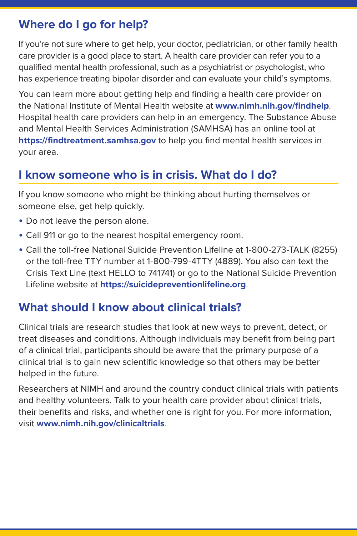## **Where do I go for help?**

If you're not sure where to get help, your doctor, pediatrician, or other family health care provider is a good place to start. A health care provider can refer you to a qualified mental health professional, such as a psychiatrist or psychologist, who has experience treating bipolar disorder and can evaluate your child's symptoms.

You can learn more about getting help and finding a health care provider on the National Institute of Mental Health website at **[www.nimh.nih.gov/findhelp](https://www.nimh.nih.gov/findhelp)**. Hospital health care providers can help in an emergency. The Substance Abuse and Mental Health Services Administration (SAMHSA) has an online tool at **<https://findtreatment.samhsa.gov>** to help you find mental health services in your area.

# **I know someone who is in crisis. What do I do?**

If you know someone who might be thinking about hurting themselves or someone else, get help quickly.

- Do not leave the person alone.
- Call 911 or go to the nearest hospital emergency room.
- Call the toll-free National Suicide Prevention Lifeline at 1-800-273-TALK (8255) or the toll-free TTY number at 1-800-799-4TTY (4889). You also can text the Crisis Text Line (text HELLO to 741741) or go to the National Suicide Prevention Lifeline website at **<https://suicidepreventionlifeline.org>**.

## **What should I know about clinical trials?**

Clinical trials are research studies that look at new ways to prevent, detect, or treat diseases and conditions. Although individuals may benefit from being part of a clinical trial, participants should be aware that the primary purpose of a clinical trial is to gain new scientific knowledge so that others may be better helped in the future.

Researchers at NIMH and around the country conduct clinical trials with patients and healthy volunteers. Talk to your health care provider about clinical trials, their benefits and risks, and whether one is right for you. For more information, visit **[www.nimh.nih.gov/clinicaltrials](https://www.nimh.nih.gov/health/trials/index.shtml)**.